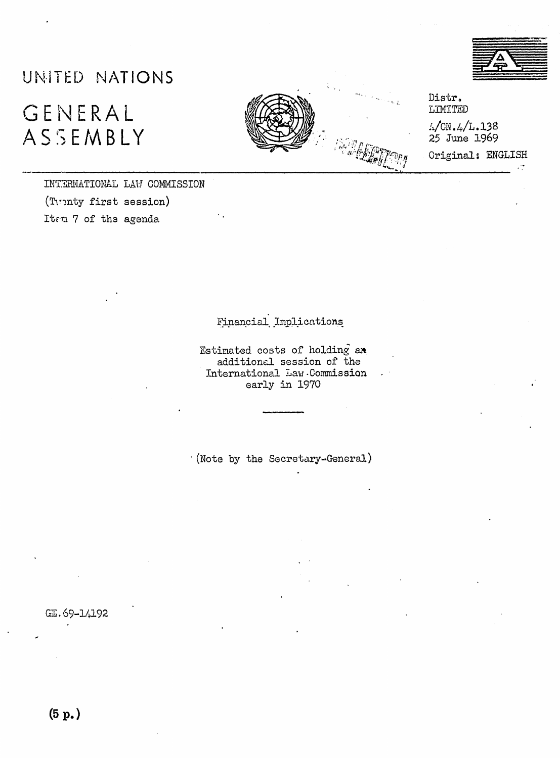

## UNITED NATIONS

## GENERAL ASSEMBLY



Distr. LIMITED

 $\frac{1}{2}$ CN.4/L.138 25 June 1969

Original: ENGLISH

INTERNATIONAL LAW COMMISSION (Tuenty first session) Item 7 of the agenda

Financial Implications

Estimated costs of holding an additional session of the International Law.Commission early in 1970

(Note by the Secretary-General)

GE. 69-14192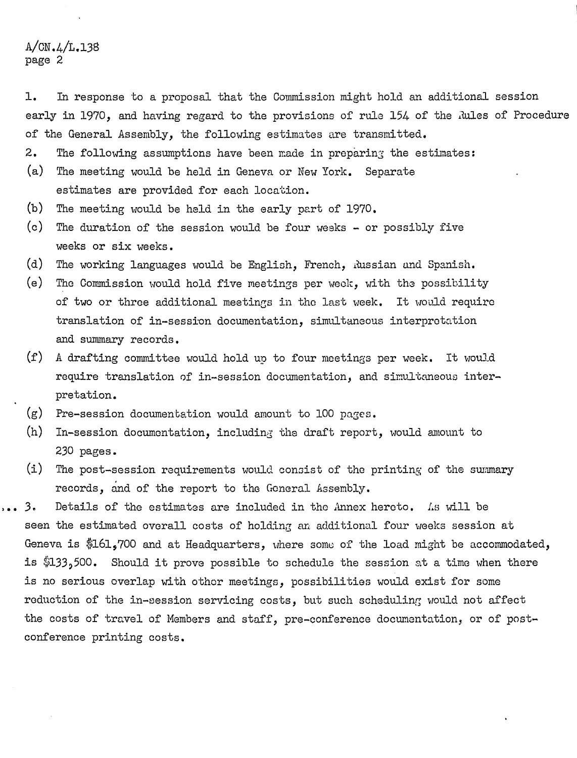## $A/CN.4/L.138$ page 2

**1.** In response to a proposal that the Oommission might hold an additional session early in 1970, and having regard to the provisions of rule 154 of the Rules of Procedure of the General Assembly, the following estimates are transmitted.

- **2.** The following assumptions have been made in preparing the estimates:
- (a) The meeting would be held in Geneva or New York. Separate estimates are provided for each location.
- (b) The meeting would be held in the early part of 1970.
- $(c)$  The duration of the session would be four weeks  $-$  or possibly five weeks or six weeks.
- (d) The working languages would be English, French, Russian and Spanish.
- (e) The Commission would hold five meetings per week, with the possibility of two or three additional meetings in the last week. It would require translation of in-session documentation, simultaneous interpretation and summary records.
- $(f)$  A drafting committee would hold up to four meetings per week. It would require translation of in-session documentation, and simultaneous interpretation.
- (g) Fre-session documentation would amount to 100 pages.
- (h) In-session documentation, including the draft report, would amount to 230 pages.
- (i) The post-session requirements would consist of the printing of the summary . records, and of the report to the General Assembly.
- 3. Details of the estimates are included in the Annex hereto. As will be seen the estimated overall costs of holding an additional four weeks session at Geneva is \$161,700 and at Headquarters, where some of the load might be accommodated, is \$133,500. Should it prove possible to schedule the session at a time when there is no serious overlap with othor meetings, possibilities would exist for some reduction of the in-session servicing costs, but such scheduling would not affect the costs of travel of Members and staff, pre-conference documentation, or of postconference printing costs.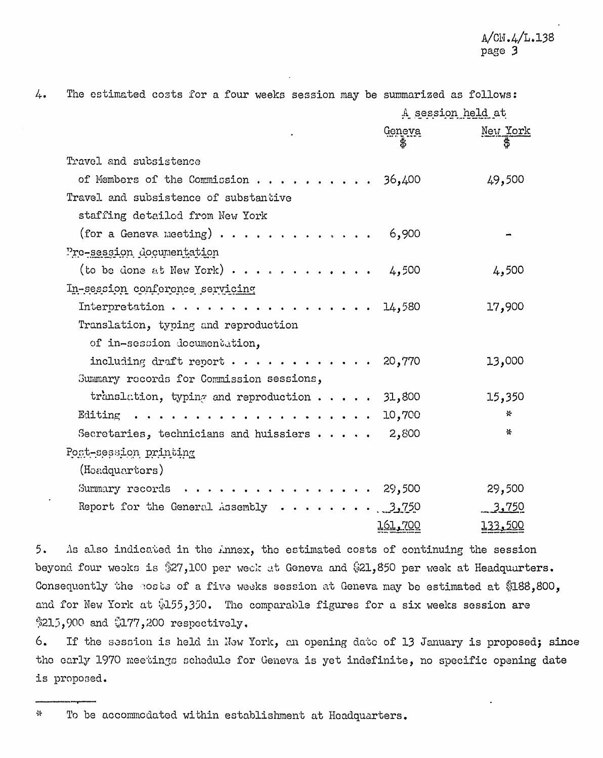$4.$ 

The estimated costs for a four weeks session may be summarized as follows:

|                                                                               | A session held at     |         |
|-------------------------------------------------------------------------------|-----------------------|---------|
|                                                                               | Geneva New York<br>\$ | \$      |
| Travel and subsistence                                                        |                       |         |
|                                                                               |                       |         |
| of Members of the Commission 36,400                                           |                       | 49,500  |
| Travel and subsistence of substantive                                         |                       |         |
| staffing detailed from New York                                               |                       |         |
| (for a Geneva meeting) $\cdots$                                               | 6,900                 |         |
| Pre-session documentation                                                     |                       |         |
| (to be done at New York) $\cdots$ , $\cdots$ , $\cdots$ , $\cdots$ , 4,500    |                       | 4,500   |
| In-session conference servicing                                               |                       |         |
| Interpretation 14,580                                                         |                       | 17,900  |
| Translation, typing and reproduction                                          |                       |         |
| of in-session documentation,                                                  |                       |         |
| including draft report $\cdots$ ,   20,770                                    |                       | 13,000  |
| Summary records for Commission sessions,                                      |                       |         |
|                                                                               |                       |         |
| translation, typing and reproduction $\cdots$ 31,800                          |                       | 15,350  |
|                                                                               | 10,700                | ☆       |
| Secretaries, technicians and huissiers $\cdots$                               | 2,800                 | ₩       |
| Post-session printing                                                         |                       |         |
| (Headquarters)                                                                |                       |         |
| Summary records $\cdots$ , $\cdots$ , $\cdots$ , $\cdots$ , $\cdots$ , 29,500 |                       | 29,500  |
| Report for the General Assembly $\cdots \cdots \cdots$ 3,750                  |                       | 3,750   |
|                                                                               | <u>161,700</u>        | 133,500 |
|                                                                               |                       |         |

 $5.$ As also indicated in the Annex, the estimated costs of continuing the session beyond four weeks is \$27,100 per week at Geneva and \$21,850 per week at Headquarters. Consequently the costs of a five weeks session at Geneva may be estimated at \$188,800, and for New York at \$155,350. The comparable figures for a six weeks session are \$215,900 and \$177,200 respectively.

6. If the session is held in New York, an opening date of 13 January is proposed; since the early 1970 meetings schedule for Geneva is yet indefinite, no specific opening date is proposed.

To be accommodated within establishment at Headquarters.  $\ddot{\mathrm{v}}$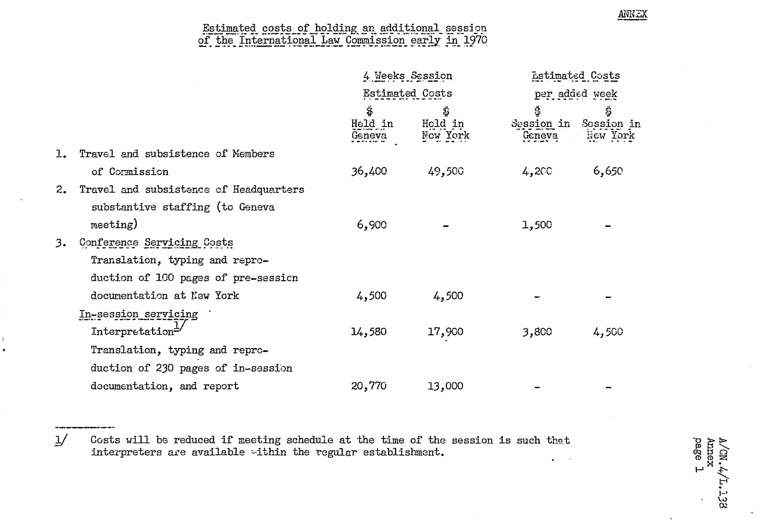## Estimated costs of holding an additional session<br>of the International Law Commission early in 1970

ANNEX

 $A/CN.A$ <br>Annex<br>page 1

**138** 

|    |                                        | 4 Weeks Session<br><b>Estimated Costs</b> |                           | <b>Estimated Costs</b><br>per added week |                              |
|----|----------------------------------------|-------------------------------------------|---------------------------|------------------------------------------|------------------------------|
|    |                                        |                                           |                           |                                          |                              |
|    |                                        | \$<br>Held in<br>Geneva                   | \$<br>Held in<br>New York | \$<br>Session in<br>Geneva               | \$<br>Session in<br>New York |
|    | Travel and subsistence of Members      |                                           |                           |                                          |                              |
|    | of Cormission                          | 36,400                                    | 49,500                    | 4,200                                    | 6,650                        |
| 2. | Travel and subsistence of Headquarters |                                           |                           |                                          |                              |
|    | substantive staffing (to Geneva        |                                           |                           |                                          |                              |
|    | meeting)                               | 6,900                                     |                           | 1,500                                    |                              |
| 3. | Conference Servicing Costs             |                                           |                           |                                          |                              |
|    | Translation, typing and repro-         |                                           |                           |                                          |                              |
|    | duction of 100 pages of pre-session    |                                           |                           |                                          |                              |
|    | documentation at New York              | 4,500                                     | 4,500                     |                                          |                              |
|    | In-session servicing                   |                                           |                           |                                          |                              |
|    | Interpretation $\pm$                   | 14,580                                    | 17,900                    | 3,800                                    | 4,500                        |
|    | Translation, typing and repro-         |                                           |                           |                                          |                              |
|    | duction of 230 pages of in-session     |                                           |                           |                                          |                              |
|    | documentation, and report              | 20,770                                    | 13,000                    |                                          |                              |

 $\frac{1}{2}$ Costs will be reduced if meeting schedule at the time of the session is such that interpreters are available within the regular establishment.  $\bullet$  $\sim$   $\alpha$